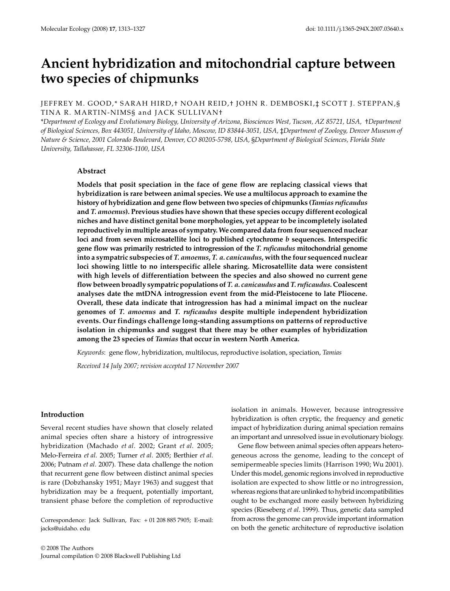# Ancient hybridization and mitochondrial capture between **two species of chipmunks**

# JEFFREY M. GOOD,\* SARAH HIRD,† NOAH REID,† JOHN R. DEMBOSKI,‡ SCOTT J. STEPPAN,§ TINA R. MARTIN-NIMS§ and JACK SULLIVAN†

\**Department of Ecology and Evolutionary Biology, University of Arizona, Biosciences West, Tucson, AZ 85721, USA,* †*Department of Biological Sciences, Box 443051, University of Idaho, Moscow, ID 83844-3051, USA,* ‡*Department of Zoology, Denver Museum of Nature & Science, 2001 Colorado Boulevard, Denver, CO 80205-5798, USA,* §*Department of Biological Sciences, Florida State University, Tallahassee, FL 32306-1100, USA*

### **Abstract**

**Models that posit speciation in the face of gene flow are replacing classical views that hybridization is rare between animal species. We use a multilocus approach to examine the history of hybridization and gene flow between two species of chipmunks (***Tamias ruficaudus* **and** *T. amoenus***). Previous studies have shown that these species occupy different ecological niches and have distinct genital bone morphologies, yet appear to be incompletely isolated reproductively in multiple areas of sympatry. We compared data from four sequenced nuclear loci and from seven microsatellite loci to published cytochrome** *b* **sequences. Interspecific gene flow was primarily restricted to introgression of the** *T. ruficaudus* **mitochondrial genome into a sympatric subspecies of** *T. amoenus***,** *T. a. canicaudus***, with the four sequenced nuclear loci showing little to no interspecific allele sharing. Microsatellite data were consistent with high levels of differentiation between the species and also showed no current gene flow between broadly sympatric populations of** *T. a. canicaudus* **and** *T. ruficaudus***. Coalescent analyses date the mtDNA introgression event from the mid-Pleistocene to late Pliocene. Overall, these data indicate that introgression has had a minimal impact on the nuclear genomes of** *T. amoenus* **and** *T. ruficaudus* **despite multiple independent hybridization events. Our findings challenge long-standing assumptions on patterns of reproductive isolation in chipmunks and suggest that there may be other examples of hybridization among the 23 species of** *Tamias* **that occur in western North America.**

*Keywords*: gene flow, hybridization, multilocus, reproductive isolation, speciation, *Tamias*

*Received 14 July 2007; revision accepted 17 November 2007*

# **Introduction**

Several recent studies have shown that closely related animal species often share a history of introgressive hybridization (Machado *et al*. 2002; Grant *et al*. 2005; Melo-Ferreira *et al*. 2005; Turner *et al*. 2005; Berthier *et al*. 2006; Putnam *et al*. 2007). These data challenge the notion that recurrent gene flow between distinct animal species is rare (Dobzhansky 1951; Mayr 1963) and suggest that hybridization may be a frequent, potentially important, transient phase before the completion of reproductive

Correspondence: Jack Sullivan, Fax: + 01 208 885 7905; E-mail: jacks@uidaho. edu

isolation in animals. However, because introgressive hybridization is often cryptic, the frequency and genetic impact of hybridization during animal speciation remains an important and unresolved issue in evolutionary biology.

Gene flow between animal species often appears heterogeneous across the genome, leading to the concept of semipermeable species limits (Harrison 1990; Wu 2001). Under this model, genomic regions involved in reproductive isolation are expected to show little or no introgression, whereas regions that are unlinked to hybrid incompatibilities ought to be exchanged more easily between hybridizing species (Rieseberg *et al*. 1999). Thus, genetic data sampled from across the genome can provide important information on both the genetic architecture of reproductive isolation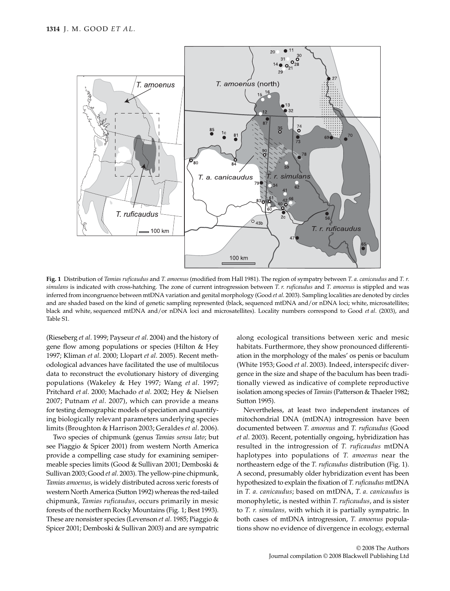

**Fig. 1** Distribution of *Tamias ruficaudus* and *T. amoenus* (modified from Hall 1981). The region of sympatry between *T. a. canicaudus* and *T. r. simulans* is indicated with cross-hatching. The zone of current introgression between *T. r. ruficaudus* and *T. amoenus* is stippled and was inferred from incongruence between mtDNA variation and genital morphology (Good *et al*. 2003). Sampling localities are denoted by circles and are shaded based on the kind of genetic sampling represented (black, sequenced mtDNA and/or nDNA loci; white, microsatellites; black and white, sequenced mtDNA and/or nDNA loci and microsatellites). Locality numbers correspond to Good *et al*. (2003), and Table S1.

(Rieseberg *et al*. 1999; Payseur *et al*. 2004) and the history of gene flow among populations or species (Hilton & Hey 1997; Kliman *et al*. 2000; Llopart *et al*. 2005). Recent methodological advances have facilitated the use of multilocus data to reconstruct the evolutionary history of diverging populations (Wakeley & Hey 1997; Wang *et al*. 1997; Pritchard *et al*. 2000; Machado *et al*. 2002; Hey & Nielsen 2007; Putnam *et al*. 2007), which can provide a means for testing demographic models of speciation and quantifying biologically relevant parameters underlying species limits (Broughton & Harrison 2003; Geraldes *et al*. 2006).

Two species of chipmunk (genus *Tamias sensu lato*; but see Piaggio & Spicer 2001) from western North America provide a compelling case study for examining semipermeable species limits (Good & Sullivan 2001; Demboski & Sullivan 2003; Good *et al*. 2003). The yellow-pine chipmunk, *Tamias amoenus*, is widely distributed across xeric forests of western North America (Sutton 1992) whereas the red-tailed chipmunk, *Tamias ruficaudus*, occurs primarily in mesic forests of the northern Rocky Mountains (Fig. 1; Best 1993). These are nonsister species (Levenson *et al*. 1985; Piaggio & Spicer 2001; Demboski & Sullivan 2003) and are sympatric along ecological transitions between xeric and mesic habitats. Furthermore, they show pronounced differentiation in the morphology of the males' os penis or baculum (White 1953; Good *et al*. 2003). Indeed, interspecifc divergence in the size and shape of the baculum has been traditionally viewed as indicative of complete reproductive isolation among species of *Tamias* (Patterson & Thaeler 1982; Sutton 1995).

Nevertheless, at least two independent instances of mitochondrial DNA (mtDNA) introgression have been documented between *T. amoenus* and *T. ruficaudus* (Good *et al*. 2003). Recent, potentially ongoing, hybridization has resulted in the introgression of *T. ruficaudus* mtDNA haplotypes into populations of *T. amoenus* near the northeastern edge of the *T. ruficaudus* distribution (Fig. 1). A second, presumably older hybridization event has been hypothesized to explain the fixation of *T. ruficaudus* mtDNA in *T. a. canicaudus*; based on mtDNA, *T. a. canicaudus* is monophyletic, is nested within *T. ruficaudus*, and is sister to *T. r. simulans,* with which it is partially sympatric. In both cases of mtDNA introgression, *T. amoenus* populations show no evidence of divergence in ecology, external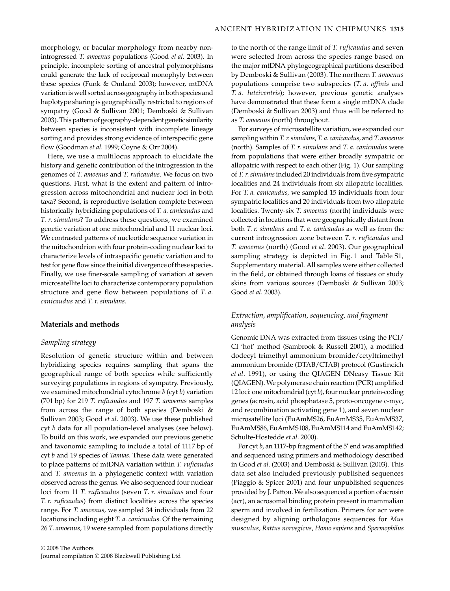morphology, or bacular morphology from nearby nonintrogressed *T. amoenus* populations (Good *et al*. 2003). In principle, incomplete sorting of ancestral polymorphisms could generate the lack of reciprocal monophyly between these species (Funk & Omland 2003); however, mtDNA variation is well sorted across geography in both species and haplotype sharing is geographically restricted to regions of sympatry (Good & Sullivan 2001; Demboski & Sullivan 2003). This pattern of geography-dependent genetic similarity between species is inconsistent with incomplete lineage sorting and provides strong evidence of interspecific gene flow (Goodman *et al*. 1999; Coyne & Orr 2004).

Here, we use a multilocus approach to elucidate the history and genetic contribution of the introgression in the genomes of *T. amoenus* and *T. ruficaudus*. We focus on two questions. First, what is the extent and pattern of introgression across mitochondrial and nuclear loci in both taxa? Second, is reproductive isolation complete between historically hybridizing populations of *T. a. canicaudus* and *T. r. simulans*? To address these questions, we examined genetic variation at one mitochondrial and 11 nuclear loci. We contrasted patterns of nucleotide sequence variation in the mitochondrion with four protein-coding nuclear loci to characterize levels of intraspecific genetic variation and to test for gene flow since the initial divergence of these species. Finally, we use finer-scale sampling of variation at seven microsatellite loci to characterize contemporary population structure and gene flow between populations of *T. a. canicaudus* and *T. r. simulans*.

## **Materials and methods**

# *Sampling strategy*

Resolution of genetic structure within and between hybridizing species requires sampling that spans the geographical range of both species while sufficiently surveying populations in regions of sympatry. Previously, we examined mitochondrial cytochrome *b* (cyt *b*) variation (701 bp) for 219 *T. ruficaudus* and 197 *T. amoenus* samples from across the range of both species (Demboski & Sullivan 2003; Good *et al*. 2003). We use these published cyt *b* data for all population-level analyses (see below). To build on this work, we expanded our previous genetic and taxonomic sampling to include a total of 1117 bp of cyt *b* and 19 species of *Tamias*. These data were generated to place patterns of mtDNA variation within *T. ruficaudus* and *T. amoenus* in a phylogenetic context with variation observed across the genus. We also sequenced four nuclear loci from 11 *T. ruficaudus* (seven *T. r. simulans* and four *T. r. ruficaudus*) from distinct localities across the species range. For *T. amoenus,* we sampled 34 individuals from 22 locations including eight *T. a. canicaudus*. Of the remaining 26 *T. amoenus*, 19 were sampled from populations directly

to the north of the range limit of *T. ruficaudus* and seven were selected from across the species range based on the major mtDNA phylogeographical partitions described by Demboski & Sullivan (2003). The northern *T. amoenus* populations comprise two subspecies (*T. a. affinis* and *T. a. luteiventris*); however, previous genetic analyses have demonstrated that these form a single mtDNA clade (Demboski & Sullivan 2003) and thus will be referred to as *T. amoenus* (north) throughout.

For surveys of microsatellite variation, we expanded our sampling within *T. r. simulans*, *T. a. canicaudus*, and *T. amoenus* (north). Samples of *T. r. simulans* and *T. a. canicaudus* were from populations that were either broadly sympatric or allopatric with respect to each other (Fig. 1). Our sampling of *T. r. simulans* included 20 individuals from five sympatric localities and 24 individuals from six allopatric localities. For *T. a. canicaudus,* we sampled 15 individuals from four sympatric localities and 20 individuals from two allopatric localities. Twenty-six *T. amoenus* (north) individuals were collected in locations that were geographically distant from both *T. r. simulans* and *T. a. canicaudus* as well as from the current introgression zone between *T. r. ruficaudus* and *T. amoenus* (north) (Good *et al*. 2003). Our geographical sampling strategy is depicted in Fig. 1 and Table S1, Supplementary material. All samples were either collected in the field, or obtained through loans of tissues or study skins from various sources (Demboski & Sullivan 2003; Good *et al*. 2003).

# *Extraction, amplification, sequencing, and fragment analysis*

Genomic DNA was extracted from tissues using the PCI/ CI 'hot' method (Sambrook & Russell 2001), a modified dodecyl trimethyl ammonium bromide/cetyltrimethyl ammonium bromide (DTAB/CTAB) protocol (Gustincich *et al*. 1991), or using the QIAGEN DNeasy Tissue Kit (QIAGEN). We polymerase chain reaction (PCR) amplified 12 loci: one mitochondrial (cyt *b*), four nuclear protein-coding genes (acrosin, acid phosphatase 5, proto-oncogene c-myc, and recombination activating gene 1), and seven nuclear microsatellite loci (EuAmMS26, EuAmMS35, EuAmMS37, EuAmMS86, EuAmMS108, EuAmMS114 and EuAmMS142; Schulte-Hostedde *et al*. 2000).

For cyt *b*, an 1117-bp fragment of the 5′ end was amplified and sequenced using primers and methodology described in Good *et al*. (2003) and Demboski & Sullivan (2003). This data set also included previously published sequences (Piaggio & Spicer 2001) and four unpublished sequences provided by J. Patton. We also sequenced a portion of acrosin (acr), an acrosomal binding protein present in mammalian sperm and involved in fertilization. Primers for acr were designed by aligning orthologous sequences for *Mus musculus*, *Rattus norvegicus*, *Homo sapiens* and *Spermophilus*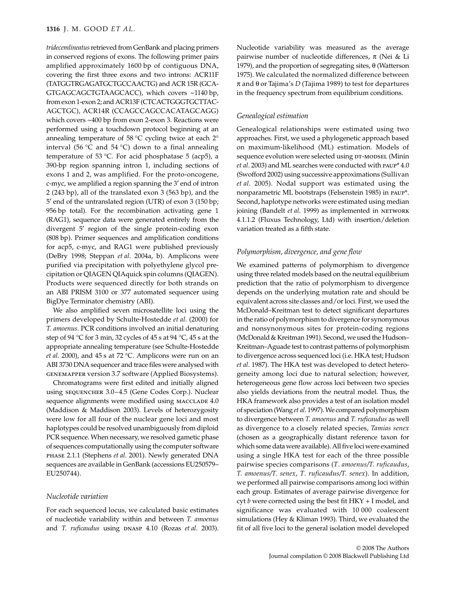## **1316** J. M. GOOD *ET AL.*

*tridecemlineatus* retrieved from GenBank and placing primers in conserved regions of exons. The following primer pairs amplified approximately 1600 bp of contiguous DNA, covering the first three exons and two introns: ACR11F (TATGGTRGAGATGCTGCCAACTG) and ACR 15R (GCA-GTGAGCAGCTGTAAGCACC), which covers ~1140 bp, from exon 1-exon 2; and ACR13F (CTCACTGGGTGCTTAC-AGCTGC), ACR14R (CCAGCCAGCCACATAGCAGG) which covers ~400 bp from exon 2-exon 3. Reactions were performed using a touchdown protocol beginning at an annealing temperature of 58 °C cycling twice at each 2° interval (56 °C and 54 °C) down to a final annealing temperature of 53 °C. For acid phosphatase 5 (acp5), a 390-bp region spanning intron 1, including sections of exons 1 and 2, was amplified. For the proto-oncogene, c-myc, we amplified a region spanning the 3′ end of intron 2 (243 bp), all of the translated exon 3 (563 bp), and the 5′ end of the untranslated region (UTR) of exon 3 (150 bp; 956 bp total). For the recombination activating gene 1 (RAG1), sequence data were generated entirely from the divergent 5′ region of the single protein-coding exon (808 bp). Primer sequences and amplification conditions for acp5, c-myc, and RAG1 were published previously (DeBry 1998; Steppan *et al*. 2004a, b). Amplicons were purified via precipitation with polyethylene glycol precipitation or QIAGEN QIAquick spin columns (QIAGEN). Products were sequenced directly for both strands on an ABI PRISM 3100 or 377 automated sequencer using BigDye Terminator chemistry (ABI).

We also amplified seven microsatellite loci using the primers developed by Schulte-Hostedde *et al*. (2000) for *T. amoenus*. PCR conditions involved an initial denaturing step of 94 °C for 3 min, 32 cycles of 45 s at 94 °C, 45 s at the appropriate annealing temperature (see Schulte-Hostedde *et al*. 2000), and 45 s at 72 °C. Amplicons were run on an ABI 3730 DNA sequencer and trace files were analysed with genemapper version 3.7 software (Applied Biosystems).

Chromatograms were first edited and initially aligned using sequencher 3.0–4.5 (Gene Codes Corp.). Nuclear sequence alignments were modified using MACCLADE 4.0 (Maddison & Maddison 2003). Levels of heterozygosity were low for all four of the nuclear gene loci and most haplotypes could be resolved unambiguously from diploid PCR sequence. When necessary, we resolved gametic phase of sequences computationally using the computer software phase 2.1.1 (Stephens *et al*. 2001). Newly generated DNA sequences are available in GenBank (accessions EU250579– EU250744).

# *Nucleotide variation*

For each sequenced locus, we calculated basic estimates of nucleotide variability within and between *T. amoenus* and *T. ruficaudus* using DNASP 4.10 (Rozas *et al.* 2003). Nucleotide variability was measured as the average pairwise number of nucleotide differences,  $π$  (Nei & Li 1979), and the proportion of segregating sites, θ (Watterson 1975). We calculated the normalized difference between π and θ or Tajima's *D* (Tajima 1989) to test for departures in the frequency spectrum from equilibrium conditions.

# *Genealogical estimation*

Genealogical relationships were estimated using two approaches. First, we used a phylogenetic approach based on maximum-likelihood (ML) estimation. Models of sequence evolution were selected using DT-MODSEL (Minin *et al*. 2003) and ML searches were conducted with paup\* 4.0 (Swofford 2002) using successive approximations (Sullivan *et al*. 2005). Nodal support was estimated using the nonparametric ML bootstraps (Felsenstein 1985) in paup\*. Second, haplotype networks were estimated using median joining (Bandelt *et al.* 1999) as implemented in NETWORK 4.1.1.2 (Fluxus Technology, Ltd) with insertion/deletion variation treated as a fifth state.

# *Polymorphism, divergence, and gene flow*

We examined patterns of polymorphism to divergence using three related models based on the neutral equilibrium prediction that the ratio of polymorphism to divergence depends on the underlying mutation rate and should be equivalent across site classes and/or loci. First, we used the McDonald–Kreitman test to detect significant departures in the ratio of polymorphism to divergence for synonymous and nonsynonymous sites for protein-coding regions (McDonald & Kreitman 1991). Second, we used the Hudson– Kreitman–Aguade test to contrast patterns of polymorphism to divergence across sequenced loci (i.e. HKA test; Hudson *et al*. 1987). The HKA test was developed to detect heterogeneity among loci due to natural selection; however, heterogeneous gene flow across loci between two species also yields deviations from the neutral model. Thus, the HKA framework also provides a test of an isolation model of speciation (Wang *et al*. 1997). We compared polymorphism to divergence between *T. amoenus* and *T. ruficaudus* as well as divergence to a closely related species, *Tamias senex* (chosen as a geographically distant reference taxon for which some data were available). All five loci were examined using a single HKA test for each of the three possible pairwise species comparisons (*T*. *amoenus/T. ruficaudus*, *T. amoenus/T. senex*, *T*. *ruficaudus/T. senex*). In addition, we performed all pairwise comparisons among loci within each group. Estimates of average pairwise divergence for cyt *b* were corrected using the best fit HKY + I model, and significance was evaluated with 10 000 coalescent simulations (Hey & Kliman 1993). Third, we evaluated the fit of all five loci to the general isolation model developed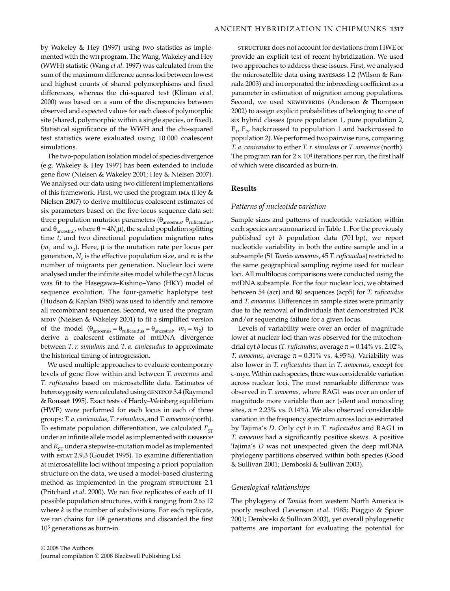by Wakeley & Hey (1997) using two statistics as implemented with the wh program. The Wang, Wakeley and Hey (WWH) statistic (Wang *et al*. 1997) was calculated from the sum of the maximum difference across loci between lowest and highest counts of shared polymorphisms and fixed differences, whereas the chi-squared test (Kliman *et al*. 2000) was based on a sum of the discrepancies between observed and expected values for each class of polymorphic site (shared, polymorphic within a single species, or fixed). Statistical significance of the WWH and the chi-squared test statistics were evaluated using 10 000 coalescent simulations.

The two-population isolation model of species divergence (e.g. Wakeley & Hey 1997) has been extended to include gene flow (Nielsen & Wakeley 2001; Hey & Nielsen 2007). We analysed our data using two different implementations of this framework. First, we used the program ima (Hey & Nielsen 2007) to derive multilocus coalescent estimates of six parameters based on the five-locus sequence data set: three population mutation parameters ( $\theta_{\text{amoenus}}$ ,  $\theta_{\text{ruficaudus}}$ , and  $\theta_{\text{ancestral}}$ , where  $\theta = 4N_e\mu$ ), the scaled population splitting time *t*, and two directional population migration rates  $(m_1$  and  $m_2)$ . Here,  $\mu$  is the mutation rate per locus per generation, *Ne* is the effective population size, and *m* is the number of migrants per generation. Nuclear loci were analysed under the infinite sites model while the cyt *b* locus was fit to the Hasegawa–Kishino–Yano (HKY) model of sequence evolution. The four-gametic haplotype test (Hudson & Kaplan 1985) was used to identify and remove all recombinant sequences. Second, we used the program mdiv (Nielsen & Wakeley 2001) to fit a simplified version of the model  $(\theta_{\text{amoenus}} = \theta_{\text{ruficaudus}} = \theta_{\text{ancestral}}$ ,  $m_1 = m_2$ ) to derive a coalescent estimate of mtDNA divergence between *T. r. simulans* and *T. a. canicaudus* to approximate the historical timing of introgression.

We used multiple approaches to evaluate contemporary levels of gene flow within and between *T. amoenus* and *T. ruficaudus* based on microsatellite data. Estimates of heterozygosity were calculated using genepop 3.4 (Raymond & Rousset 1995). Exact tests of Hardy–Weinberg equilibrium (HWE) were performed for each locus in each of three groups: *T. a. canicaudus*, *T. r simulans*, and *T. amoenus* (north). To estimate population differentiation, we calculated  $F_{ST}$ under an infinite allele model as implemented with genepop and  $R_{ST}$  under a stepwise-mutation model as implemented with FSTAT 2.9.3 (Goudet 1995). To examine differentiation at microsatellite loci without imposing a priori population structure on the data, we used a model-based clustering method as implemented in the program sTRUCTURE 2.1 (Pritchard *et al*. 2000). We ran five replicates of each of 11 possible population structures, with *k* ranging from 2 to 12 where *k* is the number of subdivisions. For each replicate, we ran chains for 106 generations and discarded the first 105 generations as burn-in.

structure does not account for deviations from HWE or provide an explicit test of recent hybridization. We used two approaches to address these issues. First, we analysed the microsatellite data using bayesass 1.2 (Wilson & Rannala 2003) and incorporated the inbreeding coefficient as a parameter in estimation of migration among populations. Second, we used NEWHYBRIDS (Anderson & Thompson 2002) to assign explicit probabilities of belonging to one of six hybrid classes (pure population 1, pure population 2,  $F_1$ ,  $F_2$ , backcrossed to population 1 and backcrossed to population 2). We performed two pairwise runs, comparing *T. a. canicaudus* to either *T. r. simulans* or *T. amoenus* (north). The program ran for  $2 \times 10^4$  iterations per run, the first half of which were discarded as burn-in.

## **Results**

#### *Patterns of nucleotide variation*

Sample sizes and patterns of nucleotide variation within each species are summarized in Table 1. For the previously published cyt *b* population data (701 bp), we report nucleotide variability in both the entire sample and in a subsample (51 *Tamias amoenus*, 45 *T. ruficaudus*) restricted to the same geographical sampling regime used for nuclear loci. All multilocus comparisons were conducted using the mtDNA subsample. For the four nuclear loci, we obtained between 54 (acr) and 80 sequences (acp5) for *T. ruficaudus* and *T. amoenus*. Differences in sample sizes were primarily due to the removal of individuals that demonstrated PCR and/or sequencing failure for a given locus.

Levels of variability were over an order of magnitude lower at nuclear loci than was observed for the mitochondrial cyt *b* locus (*T. ruficaudus*, average  $\pi = 0.14\%$  vs. 2.02%; *T. amoenus,* average  $\pi = 0.31\%$  vs. 4.95%). Variability was also lower in *T. ruficaudus* than in *T. amoenus*, except for c-myc. Within each species, there was considerable variation across nuclear loci. The most remarkable difference was observed in *T. amoenus,* where RAG1 was over an order of magnitude more variable than acr (silent and noncoding sites,  $\pi$  = 2.23% vs. 0.14%). We also observed considerable variation in the frequency spectrum across loci as estimated by Tajima's *D*. Only cyt *b* in *T. ruficaudus* and RAG1 in *T. amoenus* had a significantly positive skews. A positive Tajima's *D* was not unexpected given the deep mtDNA phylogeny partitions observed within both species (Good & Sullivan 2001; Demboski & Sullivan 2003).

#### *Genealogical relationships*

The phylogeny of *Tamias* from western North America is poorly resolved (Levenson *et al*. 1985; Piaggio & Spicer 2001; Demboski & Sullivan 2003), yet overall phylogenetic patterns are important for evaluating the potential for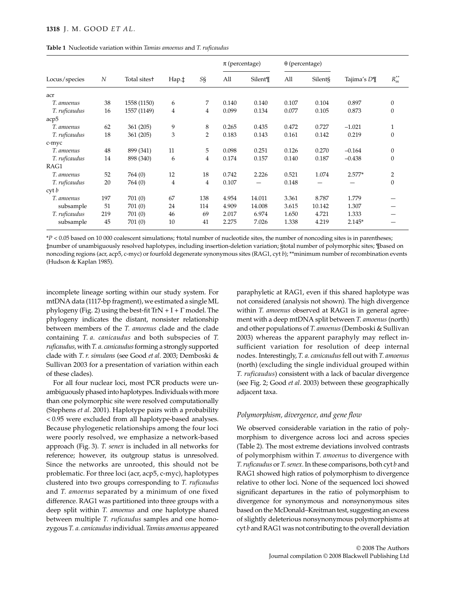| <b>Table 1</b> Nucleotide variation within Tamias amoenus and T. ruficaudus |  |
|-----------------------------------------------------------------------------|--|
|-----------------------------------------------------------------------------|--|

|                  |     |                          |                |                | $\pi$ (percentage) |         | $\theta$ (percentage) |         |             |                |  |
|------------------|-----|--------------------------|----------------|----------------|--------------------|---------|-----------------------|---------|-------------|----------------|--|
| Locus/species    | N   | Total sites <sup>+</sup> | Hap.‡          | S§             | All                | Silent¶ | All                   | Silent§ | Tajima's D¶ | $R_m^{**}$     |  |
| acr              |     |                          |                |                |                    |         |                       |         |             |                |  |
| T. amoenus       | 38  | 1558 (1150)              | 6              | 7              | 0.140              | 0.140   | 0.107                 | 0.104   | 0.897       | $\theta$       |  |
| T. ruficaudus    | 16  | 1557 (1149)              | $\overline{4}$ | 4              | 0.099              | 0.134   | 0.077                 | 0.105   | 0.873       | $\theta$       |  |
| acp <sub>5</sub> |     |                          |                |                |                    |         |                       |         |             |                |  |
| T. amoenus       | 62  | 361 (205)                | 9              | 8              | 0.265              | 0.435   | 0.472                 | 0.727   | $-1.021$    | $\mathbf{1}$   |  |
| T. ruficaudus    | 18  | 361 (205)                | 3              | $\overline{2}$ | 0.183              | 0.143   | 0.161                 | 0.142   | 0.219       | $\theta$       |  |
| c-myc            |     |                          |                |                |                    |         |                       |         |             |                |  |
| T. amoenus       | 48  | 899 (341)                | 11             | 5              | 0.098              | 0.251   | 0.126                 | 0.270   | $-0.164$    | $\theta$       |  |
| T. ruficaudus    | 14  | 898 (340)                | 6              | $\overline{4}$ | 0.174              | 0.157   | 0.140                 | 0.187   | $-0.438$    | $\theta$       |  |
| RAG1             |     |                          |                |                |                    |         |                       |         |             |                |  |
| T. amoenus       | 52  | 764 (0)                  | 12             | 18             | 0.742              | 2.226   | 0.521                 | 1.074   | $2.577*$    | $\overline{2}$ |  |
| T. ruficaudus    | 20  | 764 (0)                  | $\overline{4}$ | $\overline{4}$ | 0.107              |         | 0.148                 |         |             | $\overline{0}$ |  |
| $\cot b$         |     |                          |                |                |                    |         |                       |         |             |                |  |
| T. amoenus       | 197 | 701(0)                   | 67             | 138            | 4.954              | 14.011  | 3.361                 | 8.787   | 1.779       |                |  |
| subsample        | 51  | 701(0)                   | 24             | 114            | 4.909              | 14.008  | 3.615                 | 10.142  | 1.307       |                |  |
| T. ruficaudus    | 219 | 701 (0)                  | 46             | 69             | 2.017              | 6.974   | 1.650                 | 4.721   | 1.333       |                |  |
| subsample        | 45  | 701(0)                   | 10             | 41             | 2.275              | 7.026   | 1.338                 | 4.219   | $2.145*$    |                |  |

\**P <* 0.05 based on 10 000 coalescent simulations; †total number of nucleotide sites, the number of noncoding sites is in parentheses; ‡number of unambiguously resolved haplotypes, including insertion-deletion variation; §total number of polymorphic sites; ¶based on noncoding regions (acr, acp5, c-myc) or fourfold degenerate synonymous sites (RAG1, cyt *b*); \*\*minimum number of recombination events (Hudson & Kaplan 1985).

incomplete lineage sorting within our study system. For mtDNA data (1117-bp fragment), we estimated a single ML phylogeny (Fig. 2) using the best-fit  $TrN + I + \Gamma$  model. The phylogeny indicates the distant, nonsister relationship between members of the *T. amoenus* clade and the clade containing *T. a. canicaudus* and both subspecies of *T. ruficaudus,* with *T. a. canicaudus* forming a strongly supported clade with *T. r. simulans* (see Good *et al*. 2003; Demboski & Sullivan 2003 for a presentation of variation within each of these clades).

For all four nuclear loci, most PCR products were unambiguously phased into haplotypes. Individuals with more than one polymorphic site were resolved computationally (Stephens *et al*. 2001). Haplotype pairs with a probability < 0.95 were excluded from all haplotype-based analyses. Because phylogenetic relationships among the four loci were poorly resolved, we emphasize a network-based approach (Fig. 3). *T. senex* is included in all networks for reference; however, its outgroup status is unresolved. Since the networks are unrooted, this should not be problematic. For three loci (acr, acp5, c-myc), haplotypes clustered into two groups corresponding to *T. ruficaudus* and *T. amoenus* separated by a minimum of one fixed difference. RAG1 was partitioned into three groups with a deep split within *T. amoenus* and one haplotype shared between multiple *T. ruficaudus* samples and one homozygous *T. a. canicaudus* individual. *Tamias amoenus* appeared paraphyletic at RAG1, even if this shared haplotype was not considered (analysis not shown). The high divergence within *T. amoenus* observed at RAG1 is in general agreement with a deep mtDNA split between *T. amoenus* (north) and other populations of *T. amoenus* (Demboski & Sullivan 2003) whereas the apparent paraphyly may reflect insufficient variation for resolution of deep internal nodes. Interestingly, *T. a. canicaudus* fell out with *T. amoenus* (north) (excluding the single individual grouped within *T. ruficaudus*) consistent with a lack of bacular divergence (see Fig. 2; Good *et al*. 2003) between these geographically adjacent taxa.

# *Polymorphism, divergence, and gene flow*

We observed considerable variation in the ratio of polymorphism to divergence across loci and across species (Table 2). The most extreme deviations involved contrasts of polymorphism within *T. amoenus* to divergence with *T. ruficaudus* or *T. senex*. In these comparisons, both cyt *b* and RAG1 showed high ratios of polymorphism to divergence relative to other loci. None of the sequenced loci showed significant departures in the ratio of polymorphism to divergence for synonymous and nonsynonymous sites based on the McDonald–Kreitman test, suggesting an excess of slightly deleterious nonsynonymous polymorphisms at cyt *b* and RAG1 was not contributing to the overall deviation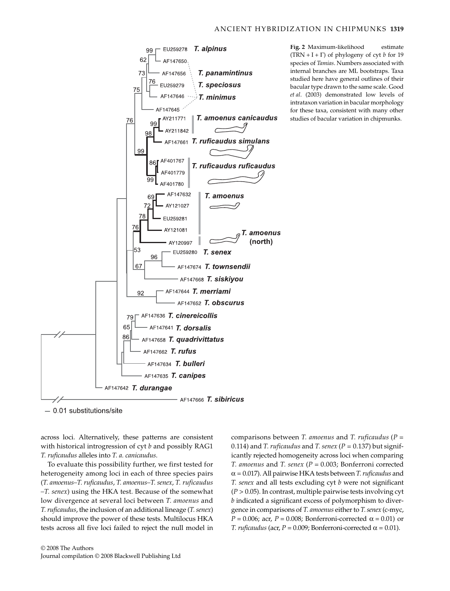

**Fig. 2** Maximum-likelihood estimate (TRN + I +  $\Gamma$ ) of phylogeny of cyt *b* for 19 species of *Tamias*. Numbers associated with internal branches are ML bootstraps. Taxa studied here have general outlines of their bacular type drawn to the same scale. Good *et al*. (2003) demonstrated low levels of intrataxon variation in bacular morphology for these taxa, consistent with many other studies of bacular variation in chipmunks.

 $-0.01$  substitutions/site

across loci. Alternatively, these patterns are consistent with historical introgression of cyt *b* and possibly RAG1 *T. ruficaudus* alleles into *T. a. canicaudus*.

To evaluate this possibility further, we first tested for heterogeneity among loci in each of three species pairs (*T. amoenus–T. ruficaudus*, *T. amoenus–T. senex*, *T. ruficaudus –T. senex*) using the HKA test. Because of the somewhat low divergence at several loci between *T. amoenus* and *T. ruficaudus*, the inclusion of an additional lineage (*T. senex*) should improve the power of these tests. Multilocus HKA tests across all five loci failed to reject the null model in

© 2008 The Authors Journal compilation © 2008 Blackwell Publishing Ltd comparisons between *T. amoenus* and *T. ruficaudus* (*P =* 0.114) and *T. ruficaudus* and *T. senex* (*P =* 0.137) but significantly rejected homogeneity across loci when comparing *T. amoenus* and *T. senex* (*P =* 0.003; Bonferroni corrected α = 0.017). All pairwise HKA tests between *T. ruficaudus* and *T. senex* and all tests excluding cyt *b* were not significant  $(P > 0.05)$ . In contrast, multiple pairwise tests involving cyt *b* indicated a significant excess of polymorphism to divergence in comparisons of *T. amoenus* either to *T. senex* (c-myc,  $P = 0.006$ ; acr,  $P = 0.008$ ; Bonferroni-corrected  $\alpha = 0.01$ ) or *T. ruficaudus* (acr,  $P = 0.009$ ; Bonferroni-corrected  $\alpha = 0.01$ ).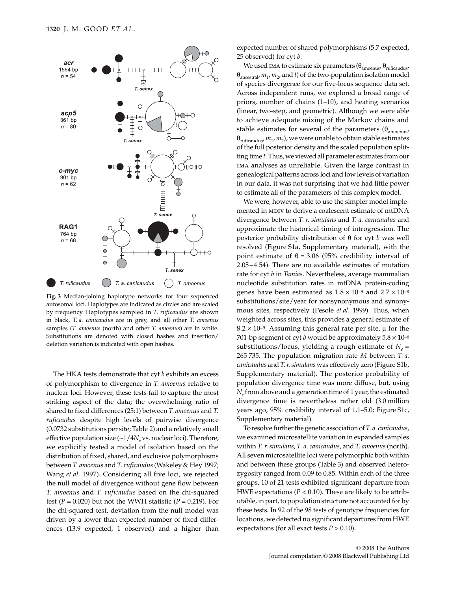

**Fig. 3** Median-joining haplotype networks for four sequenced autosomal loci. Haplotypes are indicated as circles and are scaled by frequency. Haplotypes sampled in *T. ruficaudus* are shown in black, *T. a. canicaudus* are in grey, and all other *T. amoenus* samples (*T. amoenus* (north) and other *T. amoenus*) are in white. Substitutions are denoted with closed hashes and insertion/ deletion variation is indicated with open hashes.

The HKA tests demonstrate that cyt *b* exhibits an excess of polymorphism to divergence in *T. amoenus* relative to nuclear loci. However, these tests fail to capture the most striking aspect of the data; the overwhelming ratio of shared to fixed differences (25:1) between *T. amoenus* and *T. ruficaudus* despite high levels of pairwise divergence (0.0732 substitutions per site; Table 2) and a relatively small effective population size (~1/4 $N_e$  vs. nuclear loci). Therefore, we explicitly tested a model of isolation based on the distribution of fixed, shared, and exclusive polymorphisms between *T. amoenus* and *T. ruficaudus* (Wakeley & Hey 1997; Wang *et al*. 1997). Considering all five loci, we rejected the null model of divergence without gene flow between *T. amoenus* and *T. ruficaudus* based on the chi-squared test  $(P = 0.020)$  but not the WWH statistic  $(P = 0.219)$ . For the chi-squared test, deviation from the null model was driven by a lower than expected number of fixed differences (13.9 expected, 1 observed) and a higher than expected number of shared polymorphisms (5.7 expected, 25 observed) for cyt *b*.

We used ima to estimate six parameters ( $\theta_{\text{amoenus}}$ ,  $\theta_{\text{ruficaudus}}$  $\theta_{\text{ancestral}}$ ,  $m_1$ ,  $m_2$ , and *t*) of the two-population isolation model of species divergence for our five-locus sequence data set. Across independent runs, we explored a broad range of priors, number of chains (1–10), and heating scenarios (linear, two-step, and geometric). Although we were able to achieve adequate mixing of the Markov chains and stable estimates for several of the parameters  $(\theta_{\text{amomin}})$  $\theta_{\text{ruficaudus}}$ ,  $m_1$ ,  $m_2$ ), we were unable to obtain stable estimates of the full posterior density and the scaled population splitting time *t*. Thus, we viewed all parameter estimates from our ima analyses as unreliable. Given the large contrast in genealogical patterns across loci and low levels of variation in our data, it was not surprising that we had little power to estimate all of the parameters of this complex model.

We were, however, able to use the simpler model implemented in MDIV to derive a coalescent estimate of mtDNA divergence between *T. r. simulans* and *T. a. canicaudus* and approximate the historical timing of introgression. The posterior probability distribution of θ for cyt *b* was well resolved (Figure S1a, Supplementary material), with the point estimate of  $θ = 3.06$  (95% credibility interval of 2.05–4.54). There are no available estimates of mutation rate for cyt *b* in *Tamias*. Nevertheless, average mammalian nucleotide substitution rates in mtDNA protein-coding genes have been estimated as  $1.8 \times 10^{-9}$  and  $2.7 \times 10^{-8}$ substitutions/site/year for nonsynonymous and synonymous sites, respectively (Pesole *et al*. 1999). Thus, when weighted across sites, this provides a general estimate of  $8.2 \times 10^{-9}$ . Assuming this general rate per site,  $\mu$  for the 701-bp segment of cyt *b* would be approximately  $5.8 \times 10^{-6}$ substitutions/locus, yielding a rough estimate of  $N_e$  = 265 735. The population migration rate *M* between *T. a. canicaudus* and *T. r. simulans* was effectively zero (Figure S1b, Supplementary material). The posterior probability of population divergence time was more diffuse, but, using *Ne* from above and a generation time of 1 year, the estimated divergence time is nevertheless rather old (3.0 million years ago, 95% credibility interval of 1.1–5.0; Figure S1c, Supplementary material).

To resolve further the genetic association of *T. a. canicaudus*, we examined microsatellite variation in expanded samples within *T. r. simulans*, *T. a. canicaudus*, and *T. amoenus* (north). All seven microsatellite loci were polymorphic both within and between these groups (Table 3) and observed heterozygosity ranged from 0.09 to 0.85. Within each of the three groups, 10 of 21 tests exhibited significant departure from HWE expectations (*P <* 0.10). These are likely to be attributable, in part, to population structure not accounted for by these tests. In 92 of the 98 tests of genotype frequencies for locations, we detected no significant departures from HWE expectations (for all exact tests  $P > 0.10$ ).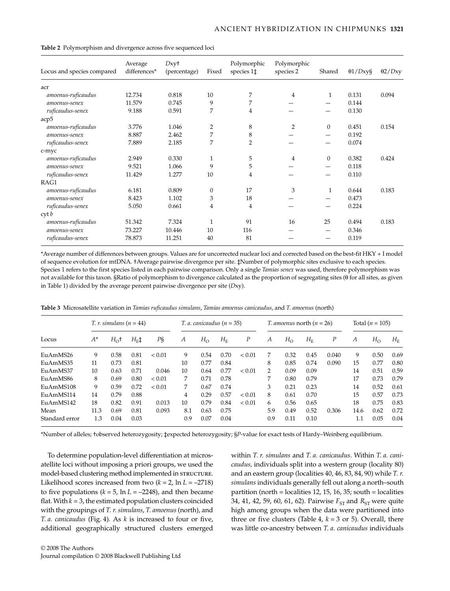| Locus and species compared | Average<br>differences* | Dxy <sup>+</sup><br>(percentage) | Fixed        | Polymorphic<br>species 1‡ | Polymorphic<br>species 2 | Shared         | $\theta$ 1/Dxy§ | $\theta$ 2/Dxy |
|----------------------------|-------------------------|----------------------------------|--------------|---------------------------|--------------------------|----------------|-----------------|----------------|
| acr                        |                         |                                  |              |                           |                          |                |                 |                |
| amoenus-ruficaudus         | 12.734                  | 0.818                            | 10           | 7                         | 4                        | 1              | 0.131           | 0.094          |
| amoenus-senex              | 11.579                  | 0.745                            | 9            | 7                         |                          |                | 0.144           |                |
| ruficaudus-senex           | 9.188                   | 0.591                            | 7            | 4                         |                          |                | 0.130           |                |
| acp <sub>5</sub>           |                         |                                  |              |                           |                          |                |                 |                |
| amoenus-ruficaudus         | 3.776                   | 1.046                            | 2            | 8                         | 2                        | $\mathbf{0}$   | 0.451           | 0.154          |
| amoenus-senex              | 8.887                   | 2.462                            | 7            | 8                         |                          |                | 0.192           |                |
| ruficaudus-senex           | 7.889                   | 2.185                            | 7            | $\overline{2}$            |                          | —              | 0.074           |                |
| c-myc                      |                         |                                  |              |                           |                          |                |                 |                |
| amoenus-ruficaudus         | 2.949                   | 0.330                            | 1            | 5                         | 4                        | $\overline{0}$ | 0.382           | 0.424          |
| amoenus-senex              | 9.521                   | 1.066                            | 9            | 5                         |                          |                | 0.118           |                |
| ruficaudus-senex           | 11.429                  | 1.277                            | 10           | 4                         |                          |                | 0.110           |                |
| RAG1                       |                         |                                  |              |                           |                          |                |                 |                |
| amoenus-ruficaudus         | 6.181                   | 0.809                            | $\mathbf{0}$ | 17                        | 3                        | 1              | 0.644           | 0.183          |
| amoenus-senex              | 8.423                   | 1.102                            | 3            | 18                        |                          |                | 0.473           |                |
| ruficaudus-senex           | 5.050                   | 0.661                            | 4            | 4                         |                          |                | 0.224           |                |
| $\cot b$                   |                         |                                  |              |                           |                          |                |                 |                |
| amoenus-ruficaudus         | 51.342                  | 7.324                            | 1            | 91                        | 16                       | 25             | 0.494           | 0.183          |
| amoenus-senex              | 73.227                  | 10.446                           | 10           | 116                       |                          |                | 0.346           |                |
| ruficaudus-senex           | 78.873                  | 11.251                           | 40           | 81                        |                          |                | 0.119           |                |

**Table 2** Polymorphism and divergence across five sequenced loci

\*Average number of differences between groups. Values are for uncorrected nuclear loci and corrected based on the best-fit HKY + I model of sequence evolution for mtDNA. †Average pairwise divergence per site. ‡Number of polymorphic sites exclusive to each species. Species 1 refers to the first species listed in each pairwise comparison. Only a single *Tamias senex* was used, therefore polymorphism was not available for this taxon. §Ratio of polymorphism to divergence calculated as the proportion of segregating sites (θ for all sites, as given in Table 1) divided by the average percent pairwise divergence per site (*D*xy).

|                |       | $T. r.$ simulans $(n = 44)$ |               |            | $T. a. canicaudus (n = 35)$ |              |             |                  | <i>T. amoenus</i> north $(n = 26)$ |             |             |       | Total $(n = 105)$ |              |                               |
|----------------|-------|-----------------------------|---------------|------------|-----------------------------|--------------|-------------|------------------|------------------------------------|-------------|-------------|-------|-------------------|--------------|-------------------------------|
| Locus          | $A^*$ | $H_0$ <sup>+</sup>          | $H_{\rm E}$ ‡ | PŞ         | A                           | $H_{\Omega}$ | $H_{\rm E}$ | $\boldsymbol{P}$ | A                                  | $H_{\rm O}$ | $H_{\rm E}$ | Ρ     | A                 | $H_{\Omega}$ | $H_{\scriptscriptstyle\rm E}$ |
| EuAmMS26       | 9     | 0.58                        | 0.81          | < 0.01     | 9                           | 0.54         | 0.70        | < 0.01           | 7                                  | 0.32        | 0.45        | 0.040 | 9                 | 0.50         | 0.69                          |
| Eu AmMS35      | 11    | 0.73                        | 0.81          |            | 10                          | 0.77         | 0.84        |                  | 8                                  | 0.85        | 0.74        | 0.090 | 15                | 0.77         | 0.80                          |
| Eu AmMS37      | 10    | 0.63                        | 0.71          | 0.046      | 10                          | 0.64         | 0.77        | < 0.01           | $\mathcal{P}$                      | 0.09        | 0.09        |       | 14                | 0.51         | 0.59                          |
| Eu AmMS86      | 8     | 0.69                        | 0.80          | ${}< 0.01$ | 7                           | 0.71         | 0.78        |                  | 7                                  | 0.80        | 0.79        |       | 17                | 0.73         | 0.79                          |
| EuAmMS108      | 9     | 0.59                        | 0.72          | < 0.01     | 7                           | 0.67         | 0.74        |                  | 3                                  | 0.21        | 0.23        |       | 14                | 0.52         | 0.61                          |
| EuAmMS114      | 14    | 0.79                        | 0.88          |            | 4                           | 0.29         | 0.57        | < 0.01           | 8                                  | 0.61        | 0.70        |       | 15                | 0.57         | 0.73                          |
| EuAmMS142      | 18    | 0.82                        | 0.91          | 0.013      | 10                          | 0.79         | 0.84        | < 0.01           | 6                                  | 0.56        | 0.65        |       | 18                | 0.75         | 0.83                          |
| Mean           | 11.3  | 0.69                        | 0.81          | 0.093      | 8.1                         | 0.63         | 0.75        |                  | 5.9                                | 0.49        | 0.52        | 0.306 | 14.6              | 0.62         | 0.72                          |
| Standard error | 1.3   | 0.04                        | 0.03          |            | 0.9                         | 0.07         | 0.04        |                  | 0.9                                | 0.11        | 0.10        |       | 1.1               | 0.05         | 0.04                          |

**Table 3** Microsatellite variation in *Tamias ruficaudus simulans*, *Tamias amoenus canicaudus*, and *T. amoenus* (north)

\*Number of alleles; †observed heterozygosity; ‡expected heterozygosity; §*P*-value for exact tests of Hardy–Weinberg equilibrium.

To determine population-level differentiation at microsatellite loci without imposing a priori groups, we used the model-based clustering method implemented in STRUCTURE. Likelihood scores increased from two  $(k = 2, \ln L = -2718)$ to five populations  $(k = 5, \ln L = -2248)$ , and then became flat. With  $k = 3$ , the estimated population clusters coincided with the groupings of *T. r. simulans*, *T. amoenus* (north), and *T. a. canicaudus* (Fig. 4). As *k* is increased to four or five, additional geographically structured clusters emerged

within *T. r. simulans* and *T. a. canicaudus*. Within *T. a. canicaudus,* individuals split into a western group (locality 80) and an eastern group (localities 40, 46, 83, 84, 90) while *T. r. simulans* individuals generally fell out along a north–south partition (north = localities 12, 15, 16, 35; south = localities 34, 41, 42, 59, 60, 61, 62). Pairwise  $F_{ST}$  and  $R_{ST}$  were quite high among groups when the data were partitioned into three or five clusters (Table 4,  $k = 3$  or 5). Overall, there was little co-ancestry between *T. a. canicaudus* individuals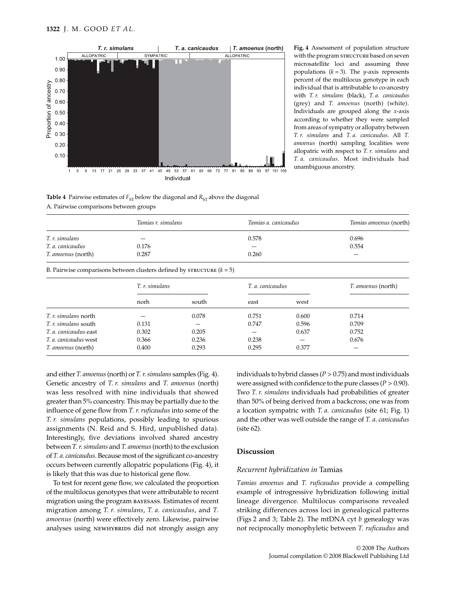

**Fig. 4** Assessment of population structure with the program structure based on seven microsatellite loci and assuming three populations  $(k = 3)$ . The *y*-axis represents percent of the multilocus genotype in each individual that is attributable to co-ancestry with *T. r. simulans* (black), *T. a. canicaudus* (grey) and *T. amoenus* (north) (white). Individuals are grouped along the *x*-axis according to whether they were sampled from areas of sympatry or allopatry between *T. r. simulans* and *T. a. canicaudus*. All *T. amoenus* (north) sampling localities were allopatric with respect to *T. r. simulans* and *T. a. canicaudus*. Most individuals had unambiguous ancestry.

Individual

**Table 4** Pairwise estimates of  $F_{ST}$  below the diagonal and  $R_{ST}$  above the diagonal A. Pairwise comparisons between groups

|                                                                         | Tamias r. simulans |       | Tamias a. canicaudus |       | Tamias amoenus (north) |  |  |
|-------------------------------------------------------------------------|--------------------|-------|----------------------|-------|------------------------|--|--|
| T. r. simulans                                                          |                    |       | 0.578                |       | 0.696                  |  |  |
| T. a. canicaudus                                                        | 0.176              |       |                      |       | 0.554                  |  |  |
| T. amoenus (north)                                                      | 0.287              |       | 0.260                |       |                        |  |  |
| B. Pairwise comparisons between clusters defined by STRUCTURE $(k = 5)$ |                    |       |                      |       |                        |  |  |
|                                                                         | T. r. simulans     |       | T. a. canicaudus     |       | T. amoenus (north)     |  |  |
|                                                                         | norh               | south | east                 | west  |                        |  |  |
| <i>T. r. simulans</i> north                                             |                    | 0.078 | 0.751                | 0.600 | 0.714                  |  |  |
| T. r. simulans south                                                    | 0.131              | –     | 0.747                | 0.596 | 0.709                  |  |  |
| T. a. canicaudus east                                                   | 0.302              | 0.205 |                      | 0.637 | 0.752                  |  |  |
| T. a. canicaudus west                                                   | 0.366              | 0.236 | 0.238                |       | 0.676                  |  |  |
| <i>T. amoenus</i> (north)                                               | 0.400              | 0.293 | 0.295                | 0.377 |                        |  |  |

and either *T. amoenus* (north) or *T. r. simulans* samples (Fig. 4). Genetic ancestry of *T. r. simulans* and *T. amoenus* (north) was less resolved with nine individuals that showed greater than 5% coancestry. This may be partially due to the influence of gene flow from *T. r. ruficaudus* into some of the *T. r. simulans* populations, possibly leading to spurious assignments (N. Reid and S. Hird, unpublished data). Interestingly, five deviations involved shared ancestry between *T. r. simulans* and *T. amoenus* (north) to the exclusion of *T. a. canicaudus*. Because most of the significant co-ancestry occurs between currently allopatric populations (Fig. 4), it is likely that this was due to historical gene flow.

To test for recent gene flow, we calculated the proportion of the multilocus genotypes that were attributable to recent migration using the program bayesass. Estimates of recent migration among *T. r. simulans*, *T. a. canicaudus*, and *T. amoenus* (north) were effectively zero. Likewise, pairwise analyses using NEWHYBRIDS did not strongly assign any individuals to hybrid classes  $(P > 0.75)$  and most individuals were assigned with confidence to the pure classes  $(P > 0.90)$ . Two *T. r. simulans* individuals had probabilities of greater than 50% of being derived from a backcross; one was from a location sympatric with *T. a. canicaudus* (site 61; Fig. 1) and the other was well outside the range of *T. a. canicaudus* (site 62).

# **Discussion**

# *Recurrent hybridization in* Tamias

*Tamias amoenus* and *T. ruficaudus* provide a compelling example of introgressive hybridization following initial lineage divergence. Multilocus comparisons revealed striking differences across loci in genealogical patterns (Figs 2 and 3; Table 2). The mtDNA cyt *b* genealogy was not reciprocally monophyletic between *T. ruficaudus* and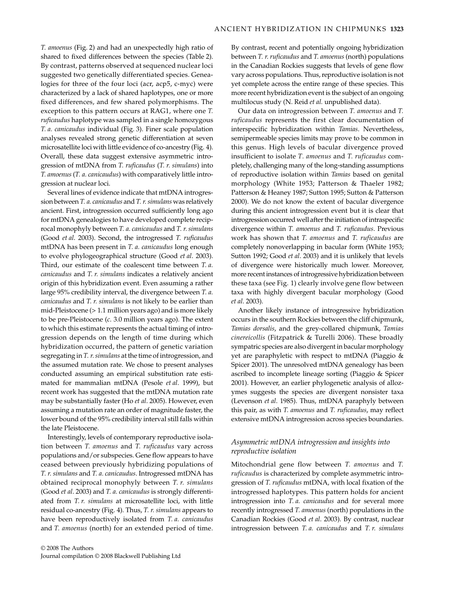*T. amoenus* (Fig. 2) and had an unexpectedly high ratio of shared to fixed differences between the species (Table 2). By contrast, patterns observed at sequenced nuclear loci suggested two genetically differentiated species. Genealogies for three of the four loci (acr, acp5, c-myc) were characterized by a lack of shared haplotypes, one or more fixed differences, and few shared polymorphisms. The exception to this pattern occurs at RAG1, where one *T. ruficaudus* haplotype was sampled in a single homozygous *T. a. canicaudus* individual (Fig. 3). Finer scale population analyses revealed strong genetic differentiation at seven microsatellite loci with little evidence of co-ancestry (Fig. 4). Overall, these data suggest extensive asymmetric introgression of mtDNA from *T. ruficaudus* (*T. r. simulans*) into *T. amoenus* (*T. a. canicaudus*) with comparatively little introgression at nuclear loci.

Several lines of evidence indicate that mtDNA introgression between *T. a. canicaudus* and *T. r. simulans* was relatively ancient. First, introgression occurred sufficiently long ago for mtDNA genealogies to have developed complete reciprocal monophyly between *T. a. canicaudus* and *T. r. simulans* (Good *et al*. 2003). Second, the introgressed *T. ruficaudus* mtDNA has been present in *T. a. canicaudus* long enough to evolve phylogeographical structure (Good *et al*. 2003). Third, our estimate of the coalescent time between *T. a. canicaudus* and *T. r. simulans* indicates a relatively ancient origin of this hybridization event. Even assuming a rather large 95% credibility interval, the divergence between *T. a. canicaudus* and *T. r. simulans* is not likely to be earlier than mid-Pleistocene (> 1.1 million years ago) and is more likely to be pre-Pleistocene (*c*. 3.0 million years ago). The extent to which this estimate represents the actual timing of introgression depends on the length of time during which hybridization occurred, the pattern of genetic variation segregating in *T. r. simulans* at the time of introgression, and the assumed mutation rate. We chose to present analyses conducted assuming an empirical substitution rate estimated for mammalian mtDNA (Pesole *et al*. 1999), but recent work has suggested that the mtDNA mutation rate may be substantially faster (Ho *et al*. 2005). However, even assuming a mutation rate an order of magnitude faster, the lower bound of the 95% credibility interval still falls within the late Pleistocene.

Interestingly, levels of contemporary reproductive isolation between *T. amoenus* and *T. ruficaudus* vary across populations and/or subspecies. Gene flow appears to have ceased between previously hybridizing populations of *T. r. simulans* and *T. a. canicaudus*. Introgressed mtDNA has obtained reciprocal monophyly between *T. r. simulans* (Good *et al*. 2003) and *T. a. canicaudus* is strongly differentiated from *T. r. simulans* at microsatellite loci, with little residual co-ancestry (Fig. 4). Thus, *T. r. simulans* appears to have been reproductively isolated from *T. a. canicaudus* and *T. amoenus* (north) for an extended period of time.

By contrast, recent and potentially ongoing hybridization between *T. r. ruficaudus* and *T. amoenus* (north) populations in the Canadian Rockies suggests that levels of gene flow vary across populations. Thus, reproductive isolation is not yet complete across the entire range of these species. This more recent hybridization event is the subject of an ongoing multilocus study (N. Reid *et al.* unpublished data).

Our data on introgression between *T. amoenus* and *T. ruficaudus* represents the first clear documentation of interspecific hybridization within *Tamias*. Nevertheless, semipermeable species limits may prove to be common in this genus. High levels of bacular divergence proved insufficient to isolate *T. amoenus* and *T. ruficaudus* completely, challenging many of the long-standing assumptions of reproductive isolation within *Tamias* based on genital morphology (White 1953; Patterson & Thaeler 1982; Patterson & Heaney 1987; Sutton 1995; Sutton & Patterson 2000). We do not know the extent of bacular divergence during this ancient introgression event but it is clear that introgression occurred well after the initiation of intraspecific divergence within *T. amoenus* and *T. ruficaudus*. Previous work has shown that *T. amoenus* and *T. ruficaudus* are completely nonoverlapping in bacular form (White 1953; Sutton 1992; Good *et al*. 2003) and it is unlikely that levels of divergence were historically much lower. Moreover, more recent instances of introgressive hybridization between these taxa (see Fig. 1) clearly involve gene flow between taxa with highly divergent bacular morphology (Good *et al*. 2003).

Another likely instance of introgressive hybridization occurs in the southern Rockies between the cliff chipmunk, *Tamias dorsalis*, and the grey-collared chipmunk, *Tamias cinereicollis* (Fitzpatrick & Turelli 2006). These broadly sympatric species are also divergent in bacular morphology yet are paraphyletic with respect to mtDNA (Piaggio & Spicer 2001). The unresolved mtDNA genealogy has been ascribed to incomplete lineage sorting (Piaggio & Spicer 2001). However, an earlier phylogenetic analysis of allozymes suggests the species are divergent nonsister taxa (Levenson *et al*. 1985). Thus, mtDNA paraphyly between this pair, as with *T. amoenus* and *T. ruficaudus*, may reflect extensive mtDNA introgression across species boundaries.

# *Asymmetric mtDNA introgression and insights into reproductive isolation*

Mitochondrial gene flow between *T. amoenus* and *T. ruficaudus* is characterized by complete asymmetric introgression of *T. ruficaudus* mtDNA, with local fixation of the introgressed haplotypes. This pattern holds for ancient introgression into *T. a. canicaudus* and for several more recently introgressed *T. amoenus* (north) populations in the Canadian Rockies (Good *et al*. 2003). By contrast, nuclear introgression between *T. a. canicaudus* and *T. r. simulans*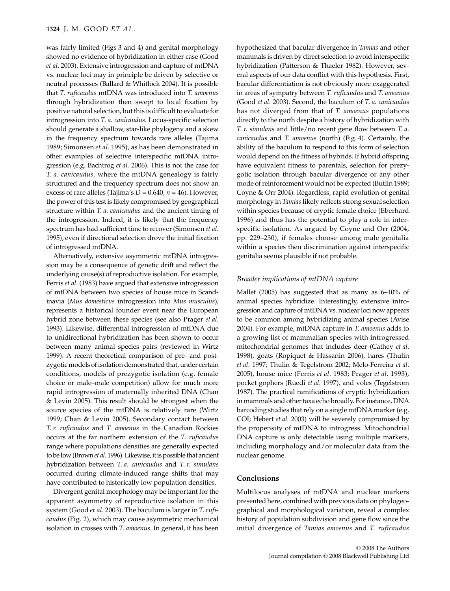was fairly limited (Figs 3 and 4) and genital morphology showed no evidence of hybridization in either case (Good *et al*. 2003). Extensive introgression and capture of mtDNA vs. nuclear loci may in principle be driven by selective or neutral processes (Ballard & Whitlock 2004). It is possible that *T. ruficaudus* mtDNA was introduced into *T. amoenus* through hybridization then swept to local fixation by positive natural selection, but this is difficult to evaluate for introgression into *T. a. canicaudus*. Locus-specific selection should generate a shallow, star-like phylogeny and a skew in the frequency spectrum towards rare alleles (Tajima 1989; Simonsen *et al*. 1995), as has been demonstrated in other examples of selective interspecific mtDNA introgression (e.g. Bachtrog *et al*. 2006). This is not the case for *T. a. canicaudus,* where the mtDNA genealogy is fairly structured and the frequency spectrum does not show an excess of rare alleles (Tajima's  $D = 0.640$ ,  $n = 46$ ). However, the power of this test is likely compromised by geographical structure within *T. a. canicaudus* and the ancient timing of the introgression. Indeed, it is likely that the frequency spectrum has had sufficient time to recover (Simonsen *et al*. 1995), even if directional selection drove the initial fixation of introgressed mtDNA.

Alternatively, extensive asymmetric mtDNA introgression may be a consequence of genetic drift and reflect the underlying cause(s) of reproductive isolation. For example, Ferris *et al*. (1983) have argued that extensive introgression of mtDNA between two species of house mice in Scandinavia (*Mus domesticus* introgression into *Mus musculus*), represents a historical founder event near the European hybrid zone between these species (see also Prager *et al*. 1993). Likewise, differential introgression of mtDNA due to unidirectional hybridization has been shown to occur between many animal species pairs (reviewed in Wirtz 1999). A recent theoretical comparison of pre- and postzygotic models of isolation demonstrated that, under certain conditions, models of prezygotic isolation (e.g. female choice or male–male competition) allow for much more rapid introgression of maternally inherited DNA (Chan & Levin 2005). This result should be strongest when the source species of the mtDNA is relatively rare (Wirtz 1999; Chan & Levin 2005). Secondary contact between *T. r. ruficaudus* and *T. amoenus* in the Canadian Rockies occurs at the far northern extension of the *T. ruficaudus* range where populations densities are generally expected to be low (Brown *et al*. 1996). Likewise, it is possible that ancient hybridization between *T. a. canicaudus* and *T. r. simulans* occurred during climate-induced range shifts that may have contributed to historically low population densities.

Divergent genital morphology may be important for the apparent asymmetry of reproductive isolation in this system (Good *et al*. 2003). The baculum is larger in *T. ruficaudus* (Fig. 2), which may cause asymmetric mechanical isolation in crosses with *T. amoenus*. In general, it has been hypothesized that bacular divergence in *Tamias* and other mammals is driven by direct selection to avoid interspecific hybridization (Patterson & Thaeler 1982). However, several aspects of our data conflict with this hypothesis. First, bacular differentiation is not obviously more exaggerated in areas of sympatry between *T. ruficaudus* and *T. amoenus* (Good *et al*. 2003). Second, the baculum of *T. a. canicaudus* has not diverged from that of *T. amoenus* populations directly to the north despite a history of hybridization with *T. r. simulans* and little/no recent gene flow between *T. a. canicaudus* and *T. amoenus* (north) (Fig. 4). Certainly, the ability of the baculum to respond to this form of selection would depend on the fitness of hybrids. If hybrid offspring have equivalent fitness to parentals, selection for prezygotic isolation through bacular divergence or any other mode of reinforcement would not be expected (Butlin 1989; Coyne & Orr 2004). Regardless, rapid evolution of genital morphology in *Tamias* likely reflects strong sexual selection within species because of cryptic female choice (Eberhard 1996) and thus has the potential to play a role in interspecific isolation. As argued by Coyne and Orr (2004, pp. 229–230), if females choose among male genitalia within a species then discrimination against interspecific genitalia seems plausible if not probable.

#### *Broader implications of mtDNA capture*

Mallet (2005) has suggested that as many as 6–10% of animal species hybridize. Interestingly, extensive introgression and capture of mtDNA vs. nuclear loci now appears to be common among hybridizing animal species (Avise 2004). For example, mtDNA capture in *T. amoenus* adds to a growing list of mammalian species with introgressed mitochondrial genomes that includes deer (Cathey *et al*. 1998), goats (Ropiquet & Hassanin 2006), hares (Thulin *et al*. 1997; Thulin & Tegelstrom 2002; Melo-Ferreira *et al*. 2005), house mice (Ferris *et al*. 1983; Prager *et al*. 1993), pocket gophers (Ruedi *et al*. 1997), and voles (Tegelstrom 1987). The practical ramifications of cryptic hybridization in mammals and other taxa echo broadly. For instance, DNA barcoding studies that rely on a single mtDNA marker (e.g. COI; Hebert *et al*. 2003) will be severely compromised by the propensity of mtDNA to introgress. Mitochondrial DNA capture is only detectable using multiple markers, including morphology and/or molecular data from the nuclear genome.

## **Conclusions**

Multilocus analyses of mtDNA and nuclear markers presented here, combined with previous data on phylogeographical and morphological variation, reveal a complex history of population subdivision and gene flow since the initial divergence of *Tamias amoenus* and *T. ruficaudus*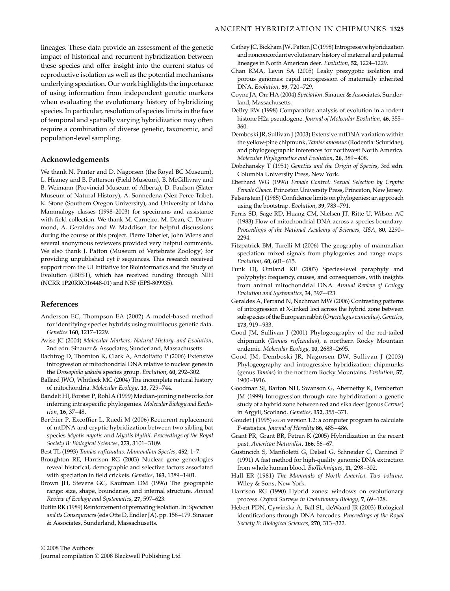lineages. These data provide an assessment of the genetic impact of historical and recurrent hybridization between these species and offer insight into the current status of reproductive isolation as well as the potential mechanisms underlying speciation. Our work highlights the importance of using information from independent genetic markers when evaluating the evolutionary history of hybridizing species. In particular, resolution of species limits in the face of temporal and spatially varying hybridization may often require a combination of diverse genetic, taxonomic, and population-level sampling.

#### **Acknowledgements**

We thank N. Panter and D. Nagorsen (the Royal BC Museum), L. Heaney and B. Patterson (Field Museum), B. McGillivray and B. Weimann (Provincial Museum of Alberta), D. Paulson (Slater Museum of Natural History), A. Sonnedena (Nez Perce Tribe), K. Stone (Southern Oregon University), and University of Idaho Mammalogy classes (1998–2003) for specimens and assistance with field collection. We thank M. Carneiro, M. Dean, C. Drummond, A. Geraldes and W. Maddison for helpful discussions during the course of this project. Pierre Taberlet, John Wiens and several anonymous reviewers provided very helpful comments. We also thank J. Patton (Museum of Vertebrate Zoology) for providing unpublished cyt *b* sequences. This research received support from the UI Initiative for Bioinformatics and the Study of Evolution (IBEST), which has received funding through NIH (NCRR 1P20RRO16448-01) and NSF (EPS-809935).

## **References**

- Anderson EC, Thompson EA (2002) A model-based method for identifying species hybrids using multilocus genetic data. *Genetics* **160**, 1217–1229.
- Avise JC (2004) *Molecular Markers, Natural History, and Evolution*, 2nd edn. Sinauer & Associates, Sunderland, Massachusetts.
- Bachtrog D, Thornton K, Clark A, Andolfatto P (2006) Extensive introgression of mitochondrial DNA relative to nuclear genes in the *Drosophila yakuba* species group. *Evolution*, **60**, 292–302.
- Ballard JWO, Whitlock MC (2004) The incomplete natural history of mitochondria. *Molecular Ecology*, **13**, 729–744.
- Bandelt HJ, Forster P, Rohl A (1999) Median-joining networks for inferring intraspecific phylogenies. *Molecular Biology and Evolution*, **16**, 37–48.
- Berthier P, Excoffier L, Ruedi M (2006) Recurrent replacement of mtDNA and cryptic hybridization between two sibling bat species *Myotis myotis* and *Myotis blythii*. *Proceedings of the Royal Society B: Biological Sciences*, **273**, 3101–3109.

Best TL (1993) *Tamias ruficaudus*. *Mammalian Species*, **452**, 1–7.

- Broughton RE, Harrison RG (2003) Nuclear gene genealogies reveal historical, demographic and selective factors associated with speciation in field crickets. *Genetics*, **163**, 1389–1401.
- Brown JH, Stevens GC, Kaufman DM (1996) The geographic range: size, shape, boundaries, and internal structure. *Annual Review of Ecology and Systematics*, **27**, 597–623.
- Butlin RK (1989) Reinforcement of premating isolation. In: *Speciation and its Consequences* (eds Otte D, Endler JA), pp. 158–179. Sinauer & Associates, Sunderland, Massachusetts.
- Cathey JC, Bickham JW, Patton JC (1998) Introgressive hybridization and nonconcordant evolutionary history of maternal and paternal lineages in North American deer. *Evolution*, **52**, 1224–1229.
- Chan KMA, Levin SA (2005) Leaky prezygotic isolation and porous genomes: rapid introgression of maternally inherited DNA. *Evolution*, **59**, 720–729.
- Coyne JA, Orr HA (2004) *Speciation*. Sinauer & Associates, Sunderland, Massachusetts.
- DeBry RW (1998) Comparative analysis of evolution in a rodent histone H2a pseudogene. *Journal of Molecular Evolution*, **46**, 355– 360.
- Demboski JR, Sullivan J (2003) Extensive mtDNA variation within the yellow-pine chipmunk, *Tamias amoenus* (Rodentia: Sciuridae), and phylogeographic inferences for northwest North America. *Molecular Phylogenetics and Evolution*, **26**, 389–408.
- Dobzhansky T (1951) *Genetics and the Origin of Species*, 3rd edn. Columbia University Press, New York.
- Eberhard WG (1996) *Female Control: Sexual Selection by Cryptic Female Choice*. Princeton University Press, Princeton, New Jersey.
- Felsenstein J (1985) Confidence limits on phylogenies: an approach using the bootstrap. *Evolution*, **39**, 783–791.
- Ferris SD, Sage RD, Huang CM, Nielsen JT, Ritte U, Wilson AC (1983) Flow of mitochondrial DNA across a species boundary. *Proceedings of the National Academy of Sciences, USA*, **80**, 2290– 2294.
- Fitzpatrick BM, Turelli M (2006) The geography of mammalian speciation: mixed signals from phylogenies and range maps. *Evolution*, **60**, 601–615.
- Funk DJ, Omland KE (2003) Species-level paraphyly and polyphyly: frequency, causes, and consequences, with insights from animal mitochondrial DNA. *Annual Review of Ecology Evolution and Systematics*, **34**, 397–423.
- Geraldes A, Ferrand N, Nachman MW (2006) Contrasting patterns of introgression at X-linked loci across the hybrid zone between subspecies of the European rabbit (*Oryctolagus cuniculus*). *Genetics*, **173**, 919–933.
- Good JM, Sullivan J (2001) Phylogeography of the red-tailed chipmunk (*Tamias ruficaudus*), a northern Rocky Mountain endemic. *Molecular Ecology*, **10**, 2683–2695.
- Good JM, Demboski JR, Nagorsen DW, Sullivan J (2003) Phylogeography and introgressive hybridization: chipmunks (genus *Tamias*) in the northern Rocky Mountains. *Evolution*, **57**, 1900–1916.
- Goodman SJ, Barton NH, Swanson G, Abernethy K, Pemberton JM (1999) Introgression through rare hybridization: a genetic study of a hybrid zone between red and sika deer (genus *Cervus*) in Argyll, Scotland. *Genetics*, **152**, 355–371.
- Goudet J (1995) *FSTAT* version 1.2: a computer program to calculate F-statistics. *Journal of Heredity* **86**, 485–486.
- Grant PR, Grant BR, Petren K (2005) Hybridization in the recent past. *American Naturalist*, **166**, 56–67.
- Gustincich S, Manfioletti G, Delsal G, Schneider C, Carninci P (1991) A fast method for high-quality genomic DNA extraction from whole human blood. *BioTechniques*, **11**, 298–302.
- Hall ER (1981) *The Mammals of North America. Two volume*. Wiley & Sons, New York.
- Harrison RG (1990) Hybrid zones: windows on evolutionary process. *Oxford Surveys in Evolutionary Biology*, **7**, 69–128.
- Hebert PDN, Cywinska A, Ball SL, deWaard JR (2003) Biological identifications through DNA barcodes. *Proceedings of the Royal Society B: Biological Sciences*, **270**, 313–322.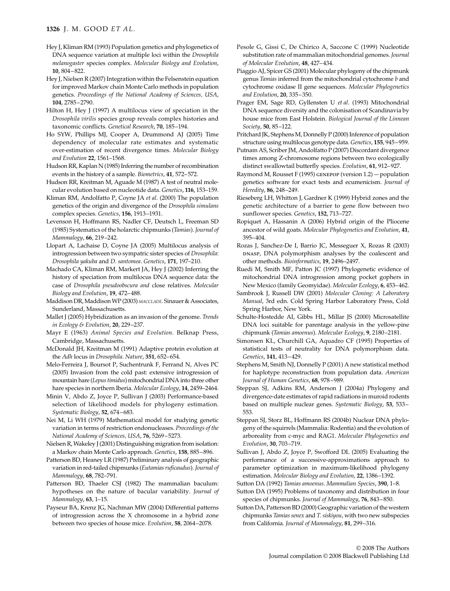### **1326** J. M. GOOD *ET AL.*

- Hey J, Kliman RM (1993) Population genetics and phylogenetics of DNA sequence variation at multiple loci within the *Drosophila melanogaster* species complex. *Molecular Biology and Evolution*, **10**, 804–822.
- Hey J, Nielsen R (2007) Integration within the Felsenstein equation for improved Markov chain Monte Carlo methods in population genetics. *Proceedings of the National Academy of Sciences, USA*, **104**, 2785–2790.
- Hilton H, Hey J (1997) A multilocus view of speciation in the *Drosophila virilis* species group reveals complex histories and taxonomic conflicts. *Genetical Research*, **70**, 185–194.
- Ho SYW, Phillips MJ, Cooper A, Drummond AJ (2005) Time dependency of molecular rate estimates and systematic over-estimation of recent divergence times. *Molecular Biology and Evolution* **22**, 1561–1568.
- Hudson RR, Kaplan N (1985) Inferring the number of recombination events in the history of a sample. *Biometrics*, **41**, 572–572.
- Hudson RR, Kreitman M, Aguade M (1987) A test of neutral molecular evolution based on nucleotide data. *Genetics*, **116**, 153–159.
- Kliman RM, Andolfatto P, Coyne JA *et al*. (2000) The population genetics of the origin and divergence of the *Drosophila simulans* complex species. *Genetics*, **156**, 1913–1931.
- Levenson H, Hoffmann RS, Nadler CF, Deutsch L, Freeman SD (1985) Systematics of the holarctic chipmunks (*Tamias*). *Journal of Mammalogy*, **66**, 219–242.
- Llopart A, Lachaise D, Coyne JA (2005) Multilocus analysis of introgression between two sympatric sister species of *Drosophila*: *Drosophila yakuba* and *D. santomea*. *Genetics*, **171**, 197–210.
- Machado CA, Kliman RM, Markert JA, Hey J (2002) Inferring the history of speciation from multilocus DNA sequence data: the case of *Drosophila pseudoobscura and* close relatives. *Molecular Biology and Evolution*, **19**, 472–488.
- Maddison DR, Maddison WP (2003) *MACCLADE*. Sinauer & Associates, Sunderland, Massachusetts.
- Mallet J (2005) Hybridization as an invasion of the genome. *Trends in Ecology & Evolution*, **20**, 229–237.
- Mayr E (1963) *Animal Species and Evolution*. Belknap Press, Cambridge, Massachusetts.
- McDonald JH, Kreitman M (1991) Adaptive protein evolution at the *Adh* locus in *Drosophila*. *Nature*, **351**, 652–654.
- Melo-Ferreira J, Boursot P, Suchentrunk F, Ferrand N, Alves PC (2005) Invasion from the cold past: extensive introgression of mountain hare (*Lepus timidus*) mitochondrial DNA into three other hare species in northern Iberia. *Molecular Ecology*, **14**, 2459–2464.
- Minin V, Abdo Z, Joyce P, Sullivan J (2003) Performance-based selection of likelihood models for phylogeny estimation. *Systematic Biology*, **52**, 674–683.
- Nei M, Li WH (1979) Mathematical model for studying genetic variation in terms of restriction endonucleases. *Proceedings of the National Academy of Sciences, USA*, **76**, 5269–5273.
- Nielsen R, Wakeley J (2001) Distinguishing migration from isolation: a Markov chain Monte Carlo approach. *Genetics*, **158**, 885–896.
- Patterson BD, Heaney LR (1987) Preliminary analysis of geographic variation in red-tailed chipmunks (*Eutamias ruficaudus*). *Journal of Mammalogy*, **68**, 782–791.
- Patterson BD, Thaeler CSJ (1982) The mammalian baculum: hypotheses on the nature of bacular variability. *Journal of Mammalogy*, **63**, 1–15.
- Payseur BA, Krenz JG, Nachman MW (2004) Differential patterns of introgression across the X chromosome in a hybrid zone between two species of house mice. *Evolution*, **58**, 2064–2078.
- Pesole G, Gissi C, De Chirico A, Saccone C (1999) Nucleotide substitution rate of mammalian mitochondrial genomes. *Journal of Molecular Evolution*, **48**, 427–434.
- Piaggio AJ, Spicer GS (2001) Molecular phylogeny of the chipmunk genus *Tamias* inferred from the mitochondrial cytochrome *b* and cytochrome oxidase II gene sequences. *Molecular Phylogenetics and Evolution*, **20**, 335–350.
- Prager EM, Sage RD, Gyllensten U *et al*. (1993) Mitochondrial DNA sequence diversity and the colonisation of Scandinavia by house mice from East Holstein. *Biological Journal of the Linnean Society*, **50**, 85–122.
- Pritchard JK, Stephens M, Donnelly P (2000) Inference of population structure using multilocus genotype data. *Genetics*, **155**, 945–959.
- Putnam AS, Scriber JM, Andolfatto P (2007) Discordant divergence times among Z-chromosome regions between two ecologically distinct swallowtail butterfly species. *Evolution*, **61**, 912–927.
- Raymond M, Rousset F (1995) genepop (version 1.2) population genetics software for exact tests and ecumenicism. *Journal of Heredity*, **86**, 248–249.
- Rieseberg LH, Whitton J, Gardner K (1999) Hybrid zones and the genetic architecture of a barrier to gene flow between two sunflower species. *Genetics*, **152**, 713–727.
- Ropiquet A, Hassanin A (2006) Hybrid origin of the Pliocene ancestor of wild goats. *Molecular Phylogenetics and Evolution*, **41**, 395–404.
- Rozas J, Sanchez-De I, Barrio JC, Messeguer X, Rozas R (2003) pNAsp, DNA polymorphism analyses by the coalescent and other methods. *Bioinformatics*, **19**, 2496–2497.
- Ruedi M, Smith MF, Patton JC (1997) Phylogenetic evidence of mitochondrial DNA introgression among pocket gophers in New Mexico (family Geomyidae). *Molecular Ecology*, **6**, 453–462.
- Sambrook J, Russell DW (2001) *Molecular Cloning: A Laboratory Manual*, 3rd edn. Cold Spring Harbor Laboratory Press, Cold Spring Harbor, New York.
- Schulte-Hostedde AI, Gibbs HL, Millar JS (2000) Microsatellite DNA loci suitable for parentage analysis in the yellow-pine chipmunk (*Tamias amoenus*). *Molecular Ecology*, **9**, 2180–2181.
- Simonsen KL, Churchill GA, Aquadro CF (1995) Properties of statistical tests of neutrality for DNA polymorphism data. *Genetics*, **141**, 413–429.
- Stephens M, Smith NJ, Donnelly P (2001) A new statistical method for haplotype reconstruction from population data. *American Journal of Human Genetics*, **68**, 978–989.
- Steppan SJ, Adkins RM, Anderson J (2004a) Phylogeny and divergence-date estimates of rapid radiations in muroid rodents based on multiple nuclear genes. *Systematic Biology*, **53**, 533– 553.
- Steppan SJ, Storz BL, Hoffmann RS (2004b) Nuclear DNA phylogeny of the squirrels (Mammalia: Rodentia) and the evolution of arboreality from c-myc and RAG1. *Molecular Phylogenetics and Evolution*, **30**, 703–719.
- Sullivan J, Abdo Z, Joyce P, Swofford DL (2005) Evaluating the performance of a successive-approximations approach to parameter optimization in maximum-likelihood phylogeny estimation. *Molecular Biology and Evolution*, **22**, 1386–1392.
- Sutton DA (1992) *Tamias amoenus*. *Mammalian Species*, **390**, 1–8.
- Sutton DA (1995) Problems of taxonomy and distribution in four species of chipmunks. *Journal of Mammalogy*, **76**, 843–850.
- Sutton DA, Patterson BD (2000) Geographic variation of the western chipmunks *Tamias senex* and *T. siskiyou*, with two new subspecies from California. *Journal of Mammalogy*, **81**, 299–316.